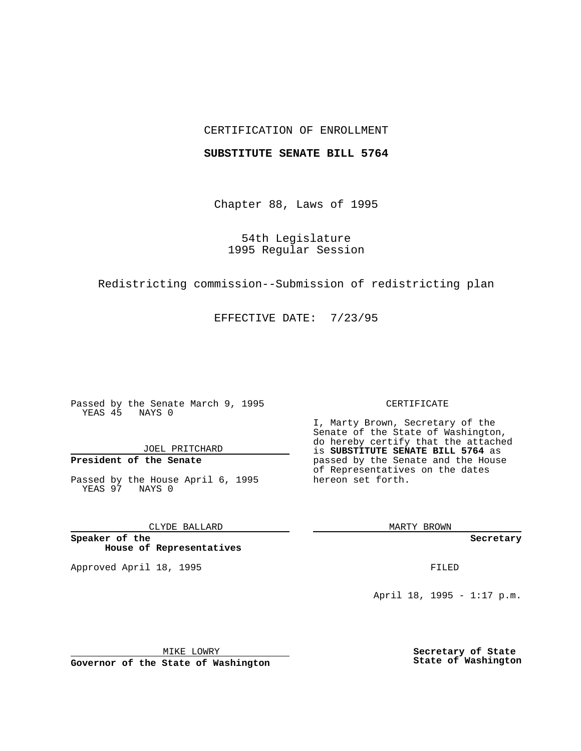## CERTIFICATION OF ENROLLMENT

### **SUBSTITUTE SENATE BILL 5764**

Chapter 88, Laws of 1995

54th Legislature 1995 Regular Session

Redistricting commission--Submission of redistricting plan

EFFECTIVE DATE: 7/23/95

Passed by the Senate March 9, 1995 YEAS 45 NAYS 0

JOEL PRITCHARD

# **President of the Senate**

Passed by the House April 6, 1995 YEAS 97 NAYS 0

CLYDE BALLARD

**Speaker of the House of Representatives**

Approved April 18, 1995 FILED

#### CERTIFICATE

I, Marty Brown, Secretary of the Senate of the State of Washington, do hereby certify that the attached is **SUBSTITUTE SENATE BILL 5764** as passed by the Senate and the House of Representatives on the dates hereon set forth.

MARTY BROWN

**Secretary**

April 18, 1995 - 1:17 p.m.

MIKE LOWRY **Governor of the State of Washington** **Secretary of State State of Washington**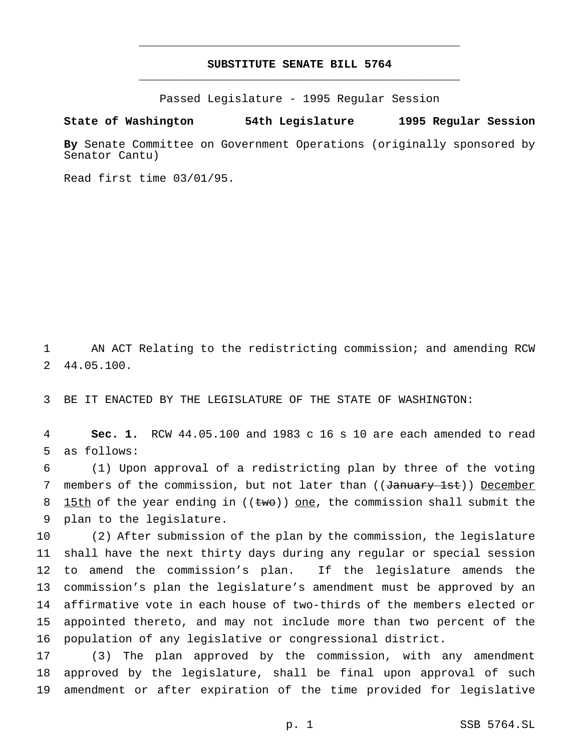## **SUBSTITUTE SENATE BILL 5764** \_\_\_\_\_\_\_\_\_\_\_\_\_\_\_\_\_\_\_\_\_\_\_\_\_\_\_\_\_\_\_\_\_\_\_\_\_\_\_\_\_\_\_\_\_\_\_

\_\_\_\_\_\_\_\_\_\_\_\_\_\_\_\_\_\_\_\_\_\_\_\_\_\_\_\_\_\_\_\_\_\_\_\_\_\_\_\_\_\_\_\_\_\_\_

Passed Legislature - 1995 Regular Session

## **State of Washington 54th Legislature 1995 Regular Session**

**By** Senate Committee on Government Operations (originally sponsored by Senator Cantu)

Read first time 03/01/95.

 AN ACT Relating to the redistricting commission; and amending RCW 44.05.100.

BE IT ENACTED BY THE LEGISLATURE OF THE STATE OF WASHINGTON:

 **Sec. 1.** RCW 44.05.100 and 1983 c 16 s 10 are each amended to read as follows:

 (1) Upon approval of a redistricting plan by three of the voting 7 members of the commission, but not later than ((January 1st)) December 8 15th of the year ending in  $((two))$  one, the commission shall submit the plan to the legislature.

 (2) After submission of the plan by the commission, the legislature shall have the next thirty days during any regular or special session to amend the commission's plan. If the legislature amends the commission's plan the legislature's amendment must be approved by an affirmative vote in each house of two-thirds of the members elected or appointed thereto, and may not include more than two percent of the population of any legislative or congressional district.

 (3) The plan approved by the commission, with any amendment approved by the legislature, shall be final upon approval of such amendment or after expiration of the time provided for legislative